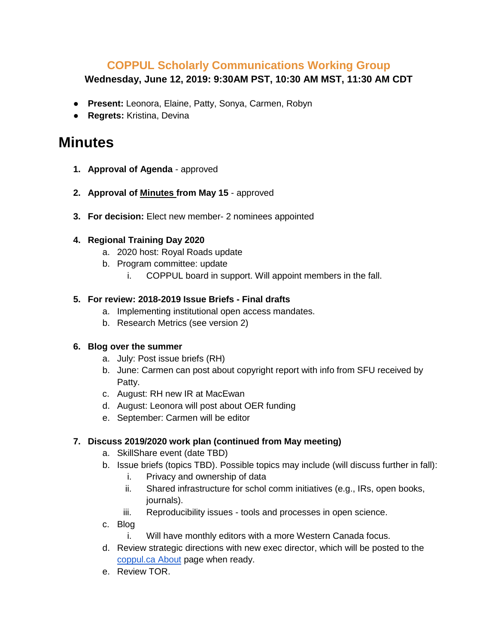## **COPPUL Scholarly Communications Working Group**

**Wednesday, June 12, 2019: 9:30AM PST, 10:30 AM MST, 11:30 AM CDT**

- **Present:** Leonora, Elaine, Patty, Sonya, Carmen, Robyn
- **Regrets:** Kristina, Devina

# **Minutes**

- **1. Approval of Agenda**  approved
- **2. Approval of Minutes from May 15** approved
- **3. For decision:** Elect new member- 2 nominees appointed

#### **4. Regional Training Day 2020**

- a. 2020 host: Royal Roads update
- b. Program committee: update
	- i. COPPUL board in support. Will appoint members in the fall.

#### **5. For review: 2018-2019 Issue Briefs - Final drafts**

- a. Implementing institutional open access mandates.
- b. Research Metrics (see version 2)

#### **6. Blog over the summer**

- a. July: Post issue briefs (RH)
- b. June: Carmen can post about copyright report with info from SFU received by Patty.
- c. August: RH new IR at MacEwan
- d. August: Leonora will post about OER funding
- e. September: Carmen will be editor

### **7. Discuss 2019/2020 work plan (continued from May meeting)**

- a. SkillShare event (date TBD)
- b. Issue briefs (topics TBD). Possible topics may include (will discuss further in fall):
	- i. Privacy and ownership of data
	- ii. Shared infrastructure for schol comm initiatives (e.g., IRs, open books, journals).
	- iii. Reproducibility issues tools and processes in open science.
- c. Blog
	- i. Will have monthly editors with a more Western Canada focus.
- d. Review strategic directions with new exec director, which will be posted to the [coppul.ca About](https://coppul.ca/about-us) page when ready.
- e. Review TOR.